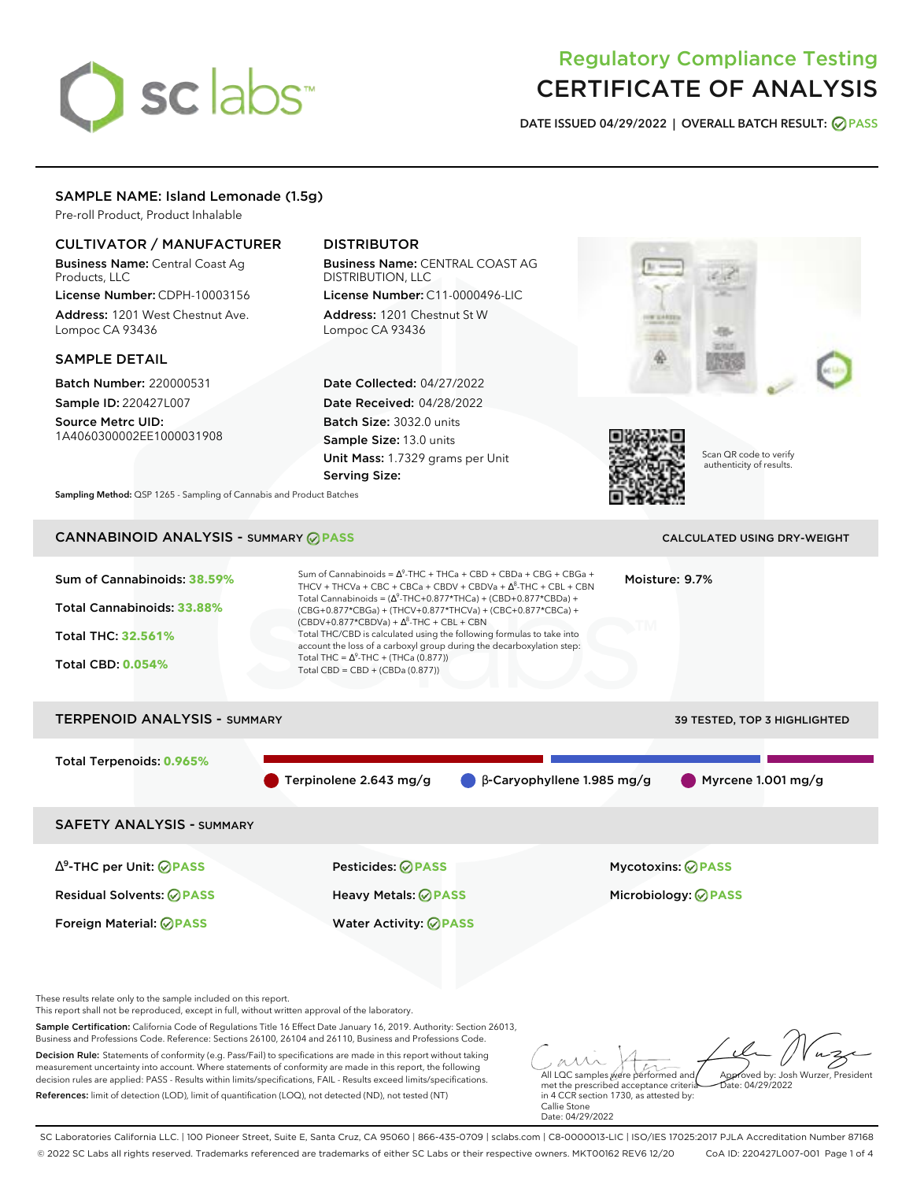# sclabs<sup>\*</sup>

# Regulatory Compliance Testing CERTIFICATE OF ANALYSIS

**DATE ISSUED 04/29/2022 | OVERALL BATCH RESULT: PASS**

# SAMPLE NAME: Island Lemonade (1.5g)

Pre-roll Product, Product Inhalable

# CULTIVATOR / MANUFACTURER

Business Name: Central Coast Ag Products, LLC

License Number: CDPH-10003156 Address: 1201 West Chestnut Ave. Lompoc CA 93436

# SAMPLE DETAIL

Batch Number: 220000531 Sample ID: 220427L007

Source Metrc UID: 1A4060300002EE1000031908

# DISTRIBUTOR

Business Name: CENTRAL COAST AG DISTRIBUTION, LLC License Number: C11-0000496-LIC

Address: 1201 Chestnut St W Lompoc CA 93436

Date Collected: 04/27/2022 Date Received: 04/28/2022 Batch Size: 3032.0 units Sample Size: 13.0 units Unit Mass: 1.7329 grams per Unit Serving Size:





Scan QR code to verify authenticity of results.

**Sampling Method:** QSP 1265 - Sampling of Cannabis and Product Batches

# CANNABINOID ANALYSIS - SUMMARY **PASS** CALCULATED USING DRY-WEIGHT

| Sum of Cannabinoids: 38.59%<br>Total Cannabinoids: 33.88%<br>Total THC: 32.561%<br><b>Total CBD: 0.054%</b> | Sum of Cannabinoids = $\Delta^9$ -THC + THCa + CBD + CBDa + CBG + CBGa +<br>THCV + THCVa + CBC + CBCa + CBDV + CBDVa + $\Delta^8$ -THC + CBL + CBN<br>Total Cannabinoids = $(\Delta^9$ -THC+0.877*THCa) + (CBD+0.877*CBDa) +<br>(CBG+0.877*CBGa) + (THCV+0.877*THCVa) + (CBC+0.877*CBCa) +<br>$(CBDV+0.877*CBDVa) + \Delta^8$ -THC + CBL + CBN<br>Total THC/CBD is calculated using the following formulas to take into<br>account the loss of a carboxyl group during the decarboxylation step:<br>Total THC = $\Delta^9$ -THC + (THCa (0.877))<br>Total CBD = $CBD + (CBDa (0.877))$ | Moisture: 9.7%                      |
|-------------------------------------------------------------------------------------------------------------|----------------------------------------------------------------------------------------------------------------------------------------------------------------------------------------------------------------------------------------------------------------------------------------------------------------------------------------------------------------------------------------------------------------------------------------------------------------------------------------------------------------------------------------------------------------------------------------|-------------------------------------|
| <b>TERPENOID ANALYSIS - SUMMARY</b>                                                                         |                                                                                                                                                                                                                                                                                                                                                                                                                                                                                                                                                                                        | <b>39 TESTED, TOP 3 HIGHLIGHTED</b> |
| Total Terpenoids: 0.965%                                                                                    | Terpinolene 2.643 mg/g<br>$\bigcirc$ $\beta$ -Caryophyllene 1.985 mg/g                                                                                                                                                                                                                                                                                                                                                                                                                                                                                                                 | Myrcene 1.001 mg/g                  |
| <b>SAFETY ANALYSIS - SUMMARY</b>                                                                            |                                                                                                                                                                                                                                                                                                                                                                                                                                                                                                                                                                                        |                                     |

∆ 9 -THC per Unit: **PASS** Pesticides: **PASS** Mycotoxins: **PASS** Residual Solvents: **PASS** Heavy Metals: **PASS** Microbiology: **PASS** Foreign Material: **PASS** Water Activity: **PASS**

These results relate only to the sample included on this report.

This report shall not be reproduced, except in full, without written approval of the laboratory.

Sample Certification: California Code of Regulations Title 16 Effect Date January 16, 2019. Authority: Section 26013, Business and Professions Code. Reference: Sections 26100, 26104 and 26110, Business and Professions Code.

Decision Rule: Statements of conformity (e.g. Pass/Fail) to specifications are made in this report without taking measurement uncertainty into account. Where statements of conformity are made in this report, the following decision rules are applied: PASS - Results within limits/specifications, FAIL - Results exceed limits/specifications. References: limit of detection (LOD), limit of quantification (LOQ), not detected (ND), not tested (NT)

All LQC samples were performed and met the prescribed acceptance criteria Approved by: Josh Wurzer, President  $hat: 04/29/2022$ 

in 4 CCR section 1730, as attested by: Callie Stone Date: 04/29/2022

SC Laboratories California LLC. | 100 Pioneer Street, Suite E, Santa Cruz, CA 95060 | 866-435-0709 | sclabs.com | C8-0000013-LIC | ISO/IES 17025:2017 PJLA Accreditation Number 87168 © 2022 SC Labs all rights reserved. Trademarks referenced are trademarks of either SC Labs or their respective owners. MKT00162 REV6 12/20 CoA ID: 220427L007-001 Page 1 of 4